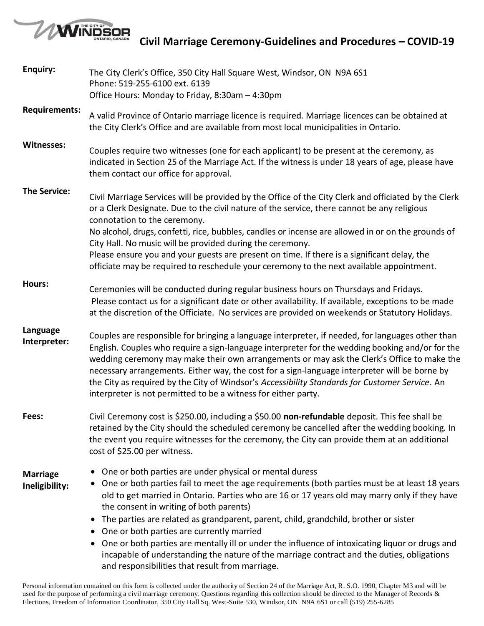

**Civil Marriage Ceremony-Guidelines and Procedures – COVID-19**

| <b>Enquiry:</b>                   | The City Clerk's Office, 350 City Hall Square West, Windsor, ON N9A 6S1<br>Phone: 519-255-6100 ext. 6139                                                                                                                                                                                                                                                                                                                                                                                                                                                                                                                                                                                                                    |  |  |
|-----------------------------------|-----------------------------------------------------------------------------------------------------------------------------------------------------------------------------------------------------------------------------------------------------------------------------------------------------------------------------------------------------------------------------------------------------------------------------------------------------------------------------------------------------------------------------------------------------------------------------------------------------------------------------------------------------------------------------------------------------------------------------|--|--|
|                                   | Office Hours: Monday to Friday, 8:30am - 4:30pm                                                                                                                                                                                                                                                                                                                                                                                                                                                                                                                                                                                                                                                                             |  |  |
| <b>Requirements:</b>              | A valid Province of Ontario marriage licence is required. Marriage licences can be obtained at<br>the City Clerk's Office and are available from most local municipalities in Ontario.                                                                                                                                                                                                                                                                                                                                                                                                                                                                                                                                      |  |  |
| Witnesses:                        | Couples require two witnesses (one for each applicant) to be present at the ceremony, as<br>indicated in Section 25 of the Marriage Act. If the witness is under 18 years of age, please have<br>them contact our office for approval.                                                                                                                                                                                                                                                                                                                                                                                                                                                                                      |  |  |
| <b>The Service:</b>               | Civil Marriage Services will be provided by the Office of the City Clerk and officiated by the Clerk<br>or a Clerk Designate. Due to the civil nature of the service, there cannot be any religious<br>connotation to the ceremony.<br>No alcohol, drugs, confetti, rice, bubbles, candles or incense are allowed in or on the grounds of                                                                                                                                                                                                                                                                                                                                                                                   |  |  |
|                                   | City Hall. No music will be provided during the ceremony.<br>Please ensure you and your guests are present on time. If there is a significant delay, the<br>officiate may be required to reschedule your ceremony to the next available appointment.                                                                                                                                                                                                                                                                                                                                                                                                                                                                        |  |  |
| Hours:                            | Ceremonies will be conducted during regular business hours on Thursdays and Fridays.<br>Please contact us for a significant date or other availability. If available, exceptions to be made<br>at the discretion of the Officiate. No services are provided on weekends or Statutory Holidays.                                                                                                                                                                                                                                                                                                                                                                                                                              |  |  |
| Language<br>Interpreter:          | Couples are responsible for bringing a language interpreter, if needed, for languages other than<br>English. Couples who require a sign-language interpreter for the wedding booking and/or for the<br>wedding ceremony may make their own arrangements or may ask the Clerk's Office to make the<br>necessary arrangements. Either way, the cost for a sign-language interpreter will be borne by<br>the City as required by the City of Windsor's Accessibility Standards for Customer Service. An<br>interpreter is not permitted to be a witness for either party.                                                                                                                                                      |  |  |
| Fees:                             | Civil Ceremony cost is \$250.00, including a \$50.00 non-refundable deposit. This fee shall be<br>retained by the City should the scheduled ceremony be cancelled after the wedding booking. In<br>the event you require witnesses for the ceremony, the City can provide them at an additional<br>cost of \$25.00 per witness.                                                                                                                                                                                                                                                                                                                                                                                             |  |  |
| <b>Marriage</b><br>Ineligibility: | One or both parties are under physical or mental duress<br>• One or both parties fail to meet the age requirements (both parties must be at least 18 years<br>old to get married in Ontario. Parties who are 16 or 17 years old may marry only if they have<br>the consent in writing of both parents)<br>The parties are related as grandparent, parent, child, grandchild, brother or sister<br>$\bullet$<br>• One or both parties are currently married<br>One or both parties are mentally ill or under the influence of intoxicating liquor or drugs and<br>$\bullet$<br>incapable of understanding the nature of the marriage contract and the duties, obligations<br>and responsibilities that result from marriage. |  |  |

Personal information contained on this form is collected under the authority of Section 24 of the Marriage Act, R. S.O. 1990, Chapter M3 and will be used for the purpose of performing a civil marriage ceremony. Questions regarding this collection should be directed to the Manager of Records & Elections, Freedom of Information Coordinator, 350 City Hall Sq. West-Suite 530, Windsor, ON N9A 6S1 or call (519) 255-6285